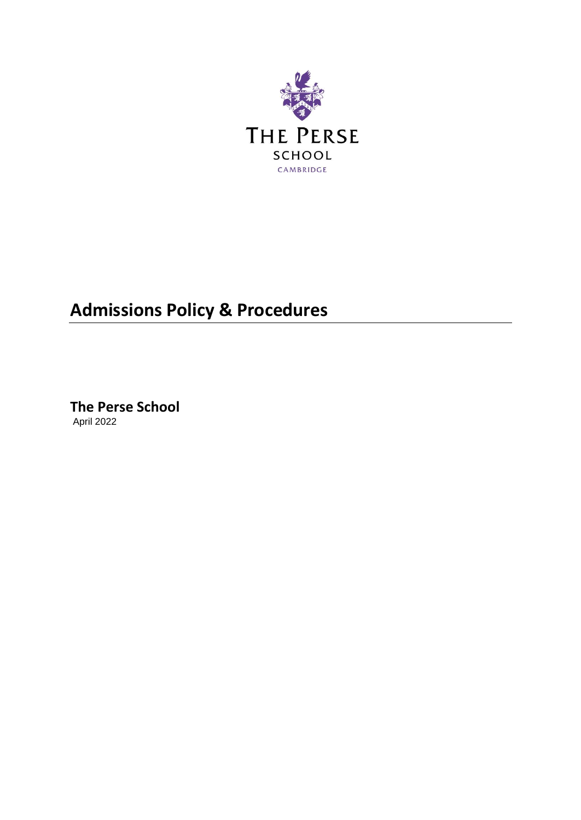

# **Admissions Policy & Procedures**

**The Perse School** April 2022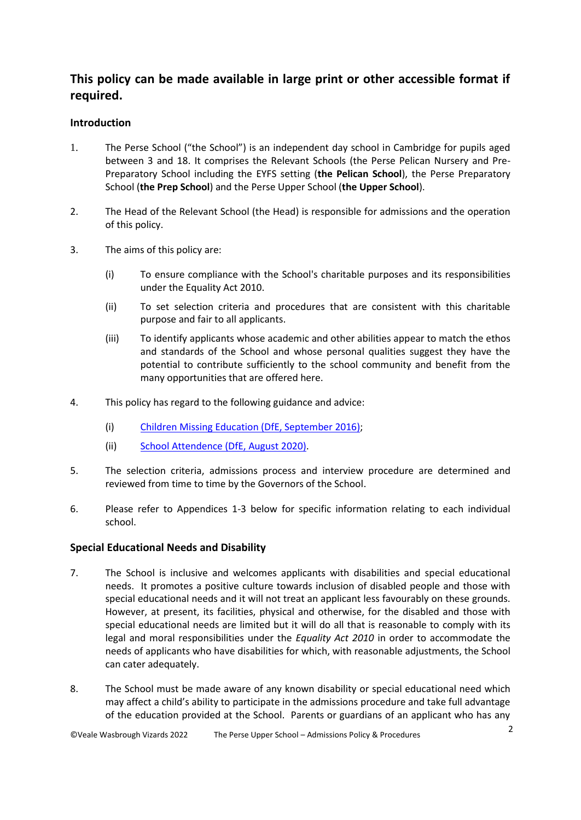# **This policy can be made available in large print or other accessible format if required.**

# **Introduction**

- 1. The Perse School ("the School") is an independent day school in Cambridge for pupils aged between 3 and 18. It comprises the Relevant Schools (the Perse Pelican Nursery and Pre-Preparatory School including the EYFS setting (**the Pelican School**), the Perse Preparatory School (**the Prep School**) and the Perse Upper School (**the Upper School**).
- 2. The Head of the Relevant School (the Head) is responsible for admissions and the operation of this policy.
- 3. The aims of this policy are:
	- (i) To ensure compliance with the School's charitable purposes and its responsibilities under the Equality Act 2010.
	- (ii) To set selection criteria and procedures that are consistent with this charitable purpose and fair to all applicants.
	- (iii) To identify applicants whose academic and other abilities appear to match the ethos and standards of the School and whose personal qualities suggest they have the potential to contribute sufficiently to the school community and benefit from the many opportunities that are offered here.
- 4. This policy has regard to the following guidance and advice:
	- (i) [Children Missing Education \(DfE, September 2016\);](https://www.gov.uk/government/publications/children-missing-education)
	- (ii) [School Attendence \(DfE, August 2020\).](https://www.gov.uk/government/publications/school-attendance)
- 5. The selection criteria, admissions process and interview procedure are determined and reviewed from time to time by the Governors of the School.
- 6. Please refer to Appendices 1-3 below for specific information relating to each individual school.

# **Special Educational Needs and Disability**

- 7. The School is inclusive and welcomes applicants with disabilities and special educational needs. It promotes a positive culture towards inclusion of disabled people and those with special educational needs and it will not treat an applicant less favourably on these grounds. However, at present, its facilities, physical and otherwise, for the disabled and those with special educational needs are limited but it will do all that is reasonable to comply with its legal and moral responsibilities under the *Equality Act 2010* in order to accommodate the needs of applicants who have disabilities for which, with reasonable adjustments, the School can cater adequately.
- <span id="page-1-0"></span>8. The School must be made aware of any known disability or special educational need which may affect a child's ability to participate in the admissions procedure and take full advantage of the education provided at the School. Parents or guardians of an applicant who has any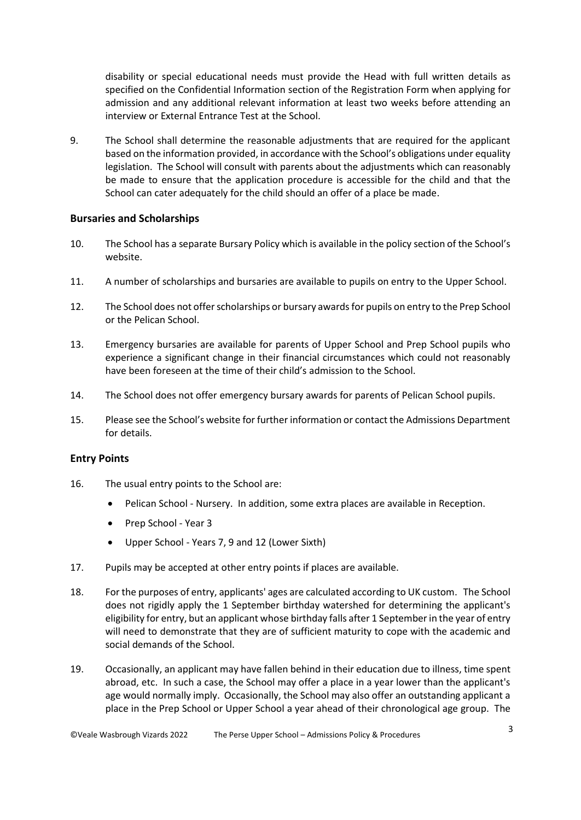disability or special educational needs must provide the Head with full written details as specified on the Confidential Information section of the Registration Form when applying for admission and any additional relevant information at least two weeks before attending an interview or External Entrance Test at the School.

<span id="page-2-0"></span>9. The School shall determine the reasonable adjustments that are required for the applicant based on the information provided, in accordance with the School's obligations under equality legislation. The School will consult with parents about the adjustments which can reasonably be made to ensure that the application procedure is accessible for the child and that the School can cater adequately for the child should an offer of a place be made.

### **Bursaries and Scholarships**

- 10. The School has a separate Bursary Policy which is available in the policy section of the School's website.
- 11. A number of scholarships and bursaries are available to pupils on entry to the Upper School.
- 12. The School does not offer scholarships or bursary awards for pupils on entry to the Prep School or the Pelican School.
- 13. Emergency bursaries are available for parents of Upper School and Prep School pupils who experience a significant change in their financial circumstances which could not reasonably have been foreseen at the time of their child's admission to the School.
- 14. The School does not offer emergency bursary awards for parents of Pelican School pupils.
- 15. Please see the School's website for further information or contact the Admissions Department for details.

### **Entry Points**

- 16. The usual entry points to the School are:
	- Pelican School Nursery. In addition, some extra places are available in Reception.
	- Prep School Year 3
	- Upper School Years 7, 9 and 12 (Lower Sixth)
- 17. Pupils may be accepted at other entry points if places are available.
- 18. For the purposes of entry, applicants' ages are calculated according to UK custom. The School does not rigidly apply the 1 September birthday watershed for determining the applicant's eligibility for entry, but an applicant whose birthday falls after 1 September in the year of entry will need to demonstrate that they are of sufficient maturity to cope with the academic and social demands of the School.
- 19. Occasionally, an applicant may have fallen behind in their education due to illness, time spent abroad, etc. In such a case, the School may offer a place in a year lower than the applicant's age would normally imply. Occasionally, the School may also offer an outstanding applicant a place in the Prep School or Upper School a year ahead of their chronological age group. The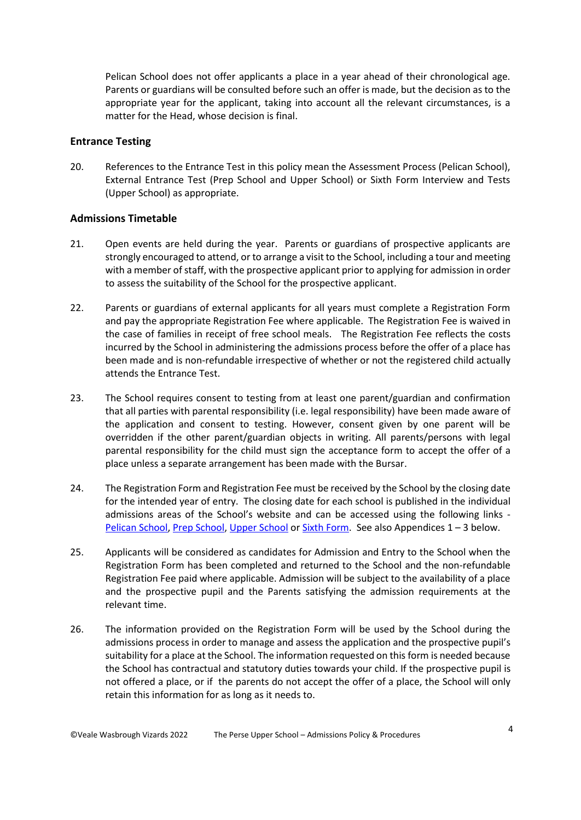Pelican School does not offer applicants a place in a year ahead of their chronological age. Parents or guardians will be consulted before such an offer is made, but the decision as to the appropriate year for the applicant, taking into account all the relevant circumstances, is a matter for the Head, whose decision is final.

### **Entrance Testing**

20. References to the Entrance Test in this policy mean the Assessment Process (Pelican School), External Entrance Test (Prep School and Upper School) or Sixth Form Interview and Tests (Upper School) as appropriate.

#### **Admissions Timetable**

- 21. Open events are held during the year. Parents or guardians of prospective applicants are strongly encouraged to attend, or to arrange a visit to the School, including a tour and meeting with a member of staff, with the prospective applicant prior to applying for admission in order to assess the suitability of the School for the prospective applicant.
- <span id="page-3-0"></span>22. Parents or guardians of external applicants for all years must complete a Registration Form and pay the appropriate Registration Fee where applicable. The Registration Fee is waived in the case of families in receipt of free school meals. The Registration Fee reflects the costs incurred by the School in administering the admissions process before the offer of a place has been made and is non-refundable irrespective of whether or not the registered child actually attends the Entrance Test.
- 23. The School requires consent to testing from at least one parent/guardian and confirmation that all parties with parental responsibility (i.e. legal responsibility) have been made aware of the application and consent to testing. However, consent given by one parent will be overridden if the other parent/guardian objects in writing. All parents/persons with legal parental responsibility for the child must sign the acceptance form to accept the offer of a place unless a separate arrangement has been made with the Bursar.
- 24. The Registration Form and Registration Fee must be received by the School by the closing date for the intended year of entry. The closing date for each school is published in the individual admissions areas of the School's website and can be accessed using the following links - [Pelican School,](https://www.perse.co.uk/admissions/pelican/register/) [Prep School,](https://www.perse.co.uk/admissions/prep/register/) [Upper School](https://www.perse.co.uk/admissions/upper/register/) or [Sixth Form.](https://www.perse.co.uk/admissions/sixth/register/) See also Appendices 1 – 3 below.
- 25. Applicants will be considered as candidates for Admission and Entry to the School when the Registration Form has been completed and returned to the School and the non-refundable Registration Fee paid where applicable. Admission will be subject to the availability of a place and the prospective pupil and the Parents satisfying the admission requirements at the relevant time.
- 26. The information provided on the Registration Form will be used by the School during the admissions process in order to manage and assess the application and the prospective pupil's suitability for a place at the School. The information requested on this form is needed because the School has contractual and statutory duties towards your child. If the prospective pupil is not offered a place, or if the parents do not accept the offer of a place, the School will only retain this information for as long as it needs to.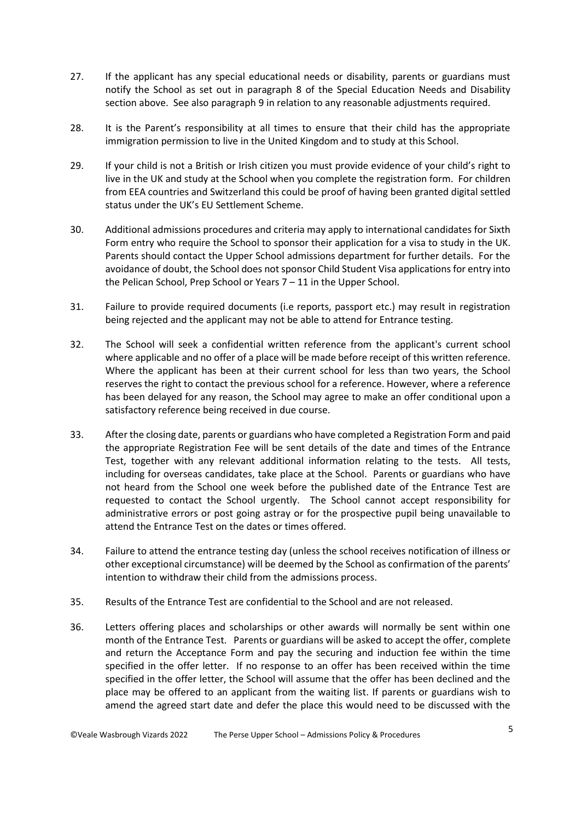- 27. If the applicant has any special educational needs or disability, parents or guardians must notify the School as set out in paragraph [8](#page-1-0) of the Special Education Needs and Disability section above. See also paragraph [9](#page-2-0) in relation to any reasonable adjustments required.
- 28. It is the Parent's responsibility at all times to ensure that their child has the appropriate immigration permission to live in the United Kingdom and to study at this School.
- 29. If your child is not a British or Irish citizen you must provide evidence of your child's right to live in the UK and study at the School when you complete the registration form. For children from EEA countries and Switzerland this could be proof of having been granted digital settled status under the UK's EU Settlement Scheme.
- 30. Additional admissions procedures and criteria may apply to international candidates for Sixth Form entry who require the School to sponsor their application for a visa to study in the UK. Parents should contact the Upper School admissions department for further details. For the avoidance of doubt, the School does not sponsor Child Student Visa applications for entry into the Pelican School, Prep School or Years 7 – 11 in the Upper School.
- 31. Failure to provide required documents (i.e reports, passport etc.) may result in registration being rejected and the applicant may not be able to attend for Entrance testing.
- 32. The School will seek a confidential written reference from the applicant's current school where applicable and no offer of a place will be made before receipt of this written reference. Where the applicant has been at their current school for less than two years, the School reserves the right to contact the previous school for a reference. However, where a reference has been delayed for any reason, the School may agree to make an offer conditional upon a satisfactory reference being received in due course.
- 33. After the closing date, parents or guardians who have completed a Registration Form and paid the appropriate Registration Fee will be sent details of the date and times of the Entrance Test, together with any relevant additional information relating to the tests. All tests, including for overseas candidates, take place at the School. Parents or guardians who have not heard from the School one week before the published date of the Entrance Test are requested to contact the School urgently. The School cannot accept responsibility for administrative errors or post going astray or for the prospective pupil being unavailable to attend the Entrance Test on the dates or times offered.
- 34. Failure to attend the entrance testing day (unless the school receives notification of illness or other exceptional circumstance) will be deemed by the School as confirmation of the parents' intention to withdraw their child from the admissions process.
- 35. Results of the Entrance Test are confidential to the School and are not released.
- 36. Letters offering places and scholarships or other awards will normally be sent within one month of the Entrance Test. Parents or guardians will be asked to accept the offer, complete and return the Acceptance Form and pay the securing and induction fee within the time specified in the offer letter. If no response to an offer has been received within the time specified in the offer letter, the School will assume that the offer has been declined and the place may be offered to an applicant from the waiting list. If parents or guardians wish to amend the agreed start date and defer the place this would need to be discussed with the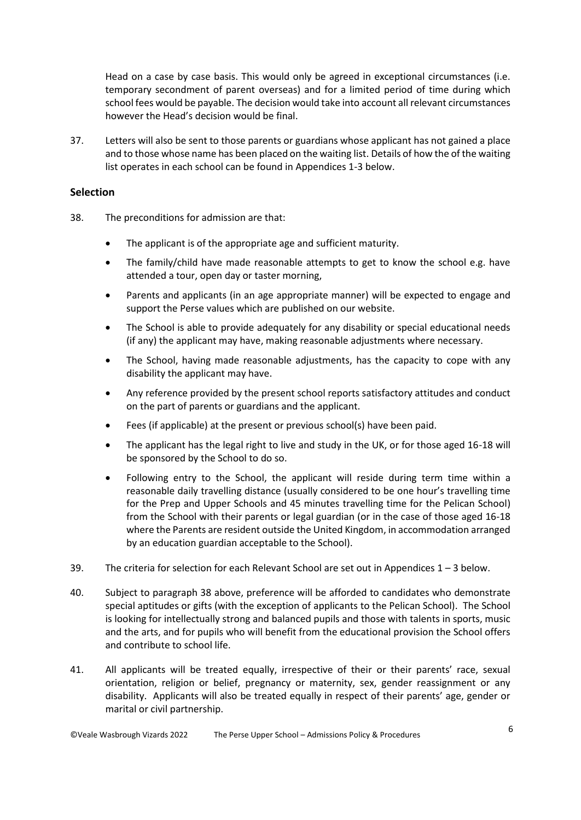Head on a case by case basis. This would only be agreed in exceptional circumstances (i.e. temporary secondment of parent overseas) and for a limited period of time during which school fees would be payable. The decision would take into account all relevant circumstances however the Head's decision would be final.

37. Letters will also be sent to those parents or guardians whose applicant has not gained a place and to those whose name has been placed on the waiting list. Details of how the of the waiting list operates in each school can be found in Appendices 1-3 below.

### **Selection**

- <span id="page-5-0"></span>38. The preconditions for admission are that:
	- The applicant is of the appropriate age and sufficient maturity.
	- The family/child have made reasonable attempts to get to know the school e.g. have attended a tour, open day or taster morning,
	- Parents and applicants (in an age appropriate manner) will be expected to engage and support the Perse values which are published on our website.
	- The School is able to provide adequately for any disability or special educational needs (if any) the applicant may have, making reasonable adjustments where necessary.
	- The School, having made reasonable adjustments, has the capacity to cope with any disability the applicant may have.
	- Any reference provided by the present school reports satisfactory attitudes and conduct on the part of parents or guardians and the applicant.
	- Fees (if applicable) at the present or previous school(s) have been paid.
	- The applicant has the legal right to live and study in the UK, or for those aged 16-18 will be sponsored by the School to do so.
	- Following entry to the School, the applicant will reside during term time within a reasonable daily travelling distance (usually considered to be one hour's travelling time for the Prep and Upper Schools and 45 minutes travelling time for the Pelican School) from the School with their parents or legal guardian (or in the case of those aged 16-18 where the Parents are resident outside the United Kingdom, in accommodation arranged by an education guardian acceptable to the School).
- 39. The criteria for selection for each Relevant School are set out in Appendices  $1 3$  below.
- 40. Subject to paragraph [38](#page-5-0) above, preference will be afforded to candidates who demonstrate special aptitudes or gifts (with the exception of applicants to the Pelican School). The School is looking for intellectually strong and balanced pupils and those with talents in sports, music and the arts, and for pupils who will benefit from the educational provision the School offers and contribute to school life.
- <span id="page-5-1"></span>41. All applicants will be treated equally, irrespective of their or their parents' race, sexual orientation, religion or belief, pregnancy or maternity, sex, gender reassignment or any disability. Applicants will also be treated equally in respect of their parents' age, gender or marital or civil partnership.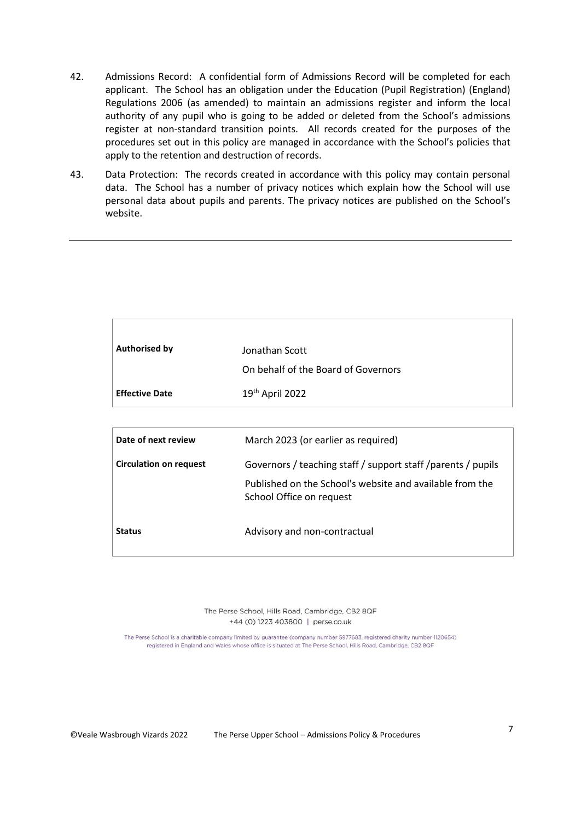- 42. Admissions Record: A confidential form of Admissions Record will be completed for each applicant. The School has an obligation under the Education (Pupil Registration) (England) Regulations 2006 (as amended) to maintain an admissions register and inform the local authority of any pupil who is going to be added or deleted from the School's admissions register at non-standard transition points. All records created for the purposes of the procedures set out in this policy are managed in accordance with the School's policies that apply to the retention and destruction of records.
- 43. Data Protection: The records created in accordance with this policy may contain personal data. The School has a number of privacy notices which explain how the School will use personal data about pupils and parents. The privacy notices are published on the School's website.

| <b>Authorised by</b>  | Jonathan Scott<br>On behalf of the Board of Governors |
|-----------------------|-------------------------------------------------------|
| <b>Effective Date</b> | 19th April 2022                                       |

| Date of next review           | March 2023 (or earlier as required)                                                  |
|-------------------------------|--------------------------------------------------------------------------------------|
| <b>Circulation on request</b> | Governors / teaching staff / support staff / parents / pupils                        |
|                               | Published on the School's website and available from the<br>School Office on request |
| <b>Status</b>                 | Advisory and non-contractual                                                         |

The Perse School, Hills Road, Cambridge, CB2 8QF +44 (0) 1223 403800 | perse.co.uk

The Perse School is a charitable company limited by guarantee (company number 5977683, registered charity number 1120654) registered in England and Wales whose office is situated at The Perse School, Hills Road, Cambridge, CB2 8QF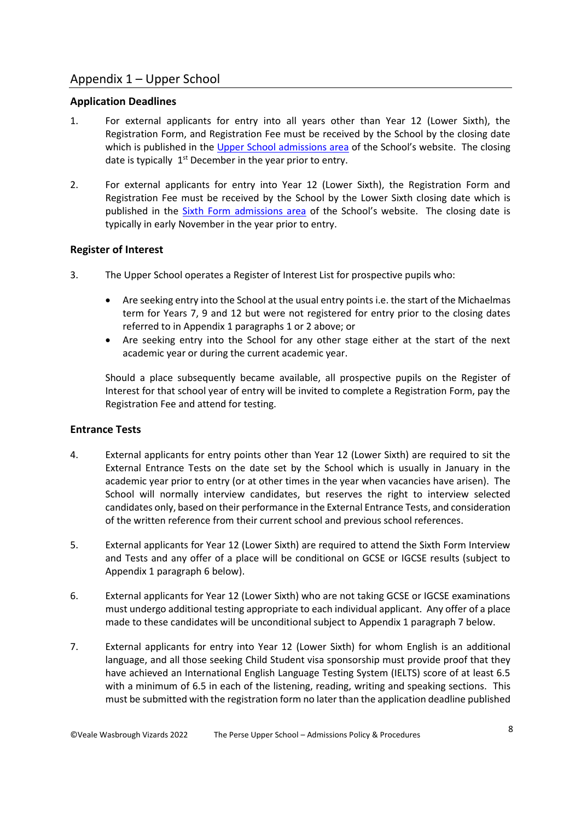# Appendix 1 – Upper School

### **Application Deadlines**

- <span id="page-7-0"></span>1. For external applicants for entry into all years other than Year 12 (Lower Sixth), the Registration Form, and Registration Fee must be received by the School by the closing date which is published in the [Upper School admissions area](https://www.perse.co.uk/admissions/upper/register/) of the School's website. The closing date is typically  $1<sup>st</sup>$  December in the year prior to entry.
- <span id="page-7-1"></span>2. For external applicants for entry into Year 12 (Lower Sixth), the Registration Form and Registration Fee must be received by the School by the Lower Sixth closing date which is published in the [Sixth Form admissions area](https://www.perse.co.uk/admissions/sixth/register/) of the School's website. The closing date is typically in early November in the year prior to entry.

# **Register of Interest**

- <span id="page-7-4"></span>3. The Upper School operates a Register of Interest List for prospective pupils who:
	- Are seeking entry into the School at the usual entry points i.e. the start of the Michaelmas term for Years 7, 9 and 12 but were not registered for entry prior to the closing dates referred to in Appendix 1 paragraphs [1](#page-7-0) or [2](#page-7-1) above; or
	- Are seeking entry into the School for any other stage either at the start of the next academic year or during the current academic year.

Should a place subsequently became available, all prospective pupils on the Register of Interest for that school year of entry will be invited to complete a Registration Form, pay the Registration Fee and attend for testing.

# **Entrance Tests**

- 4. External applicants for entry points other than Year 12 (Lower Sixth) are required to sit the External Entrance Tests on the date set by the School which is usually in January in the academic year prior to entry (or at other times in the year when vacancies have arisen). The School will normally interview candidates, but reserves the right to interview selected candidates only, based on their performance in the External Entrance Tests, and consideration of the written reference from their current school and previous school references.
- 5. External applicants for Year 12 (Lower Sixth) are required to attend the Sixth Form Interview and Tests and any offer of a place will be conditional on GCSE or IGCSE results (subject to Appendix 1 paragraph [6](#page-7-2) below).
- <span id="page-7-2"></span>6. External applicants for Year 12 (Lower Sixth) who are not taking GCSE or IGCSE examinations must undergo additional testing appropriate to each individual applicant. Any offer of a place made to these candidates will be unconditional subject to Appendix 1 paragraph [7](#page-7-3) below.
- <span id="page-7-3"></span>7. External applicants for entry into Year 12 (Lower Sixth) for whom English is an additional language, and all those seeking Child Student visa sponsorship must provide proof that they have achieved an International English Language Testing System (IELTS) score of at least 6.5 with a minimum of 6.5 in each of the listening, reading, writing and speaking sections. This must be submitted with the registration form no later than the application deadline published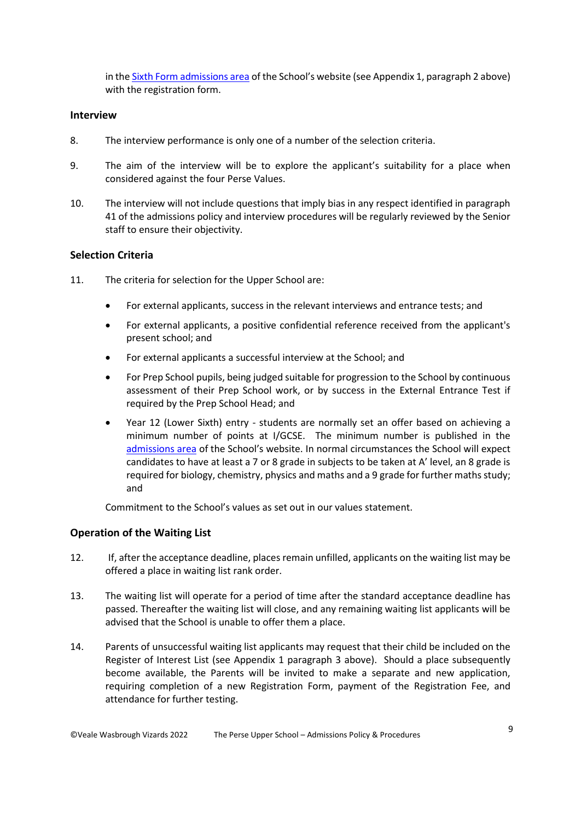in th[e Sixth Form admissions area](https://www.perse.co.uk/admissions/sixth/register/) of the School's website (see Appendix 1, paragraph [2](#page-7-1) above) with the registration form.

### **Interview**

- 8. The interview performance is only one of a number of the selection criteria.
- 9. The aim of the interview will be to explore the applicant's suitability for a place when considered against the four Perse Values.
- 10. The interview will not include questions that imply bias in any respect identified in paragraph [41](#page-5-1) of the admissions policy and interview procedures will be regularly reviewed by the Senior staff to ensure their objectivity.

### **Selection Criteria**

- 11. The criteria for selection for the Upper School are:
	- For external applicants, success in the relevant interviews and entrance tests; and
	- For external applicants, a positive confidential reference received from the applicant's present school; and
	- For external applicants a successful interview at the School; and
	- For Prep School pupils, being judged suitable for progression to the School by continuous assessment of their Prep School work, or by success in the External Entrance Test if required by the Prep School Head; and
	- Year 12 (Lower Sixth) entry students are normally set an offer based on achieving a minimum number of points at I/GCSE. The minimum number is published in the [admissions area](http://www.perse.co.uk/admissions/sixth/joining/) of the School's website. In normal circumstances the School will expect candidates to have at least a 7 or 8 grade in subjects to be taken at A' level, an 8 grade is required for biology, chemistry, physics and maths and a 9 grade for further maths study; and

Commitment to the School's values as set out in our values statement.

### **Operation of the Waiting List**

- 12. If, after the acceptance deadline, places remain unfilled, applicants on the waiting list may be offered a place in waiting list rank order.
- 13. The waiting list will operate for a period of time after the standard acceptance deadline has passed. Thereafter the waiting list will close, and any remaining waiting list applicants will be advised that the School is unable to offer them a place.
- 14. Parents of unsuccessful waiting list applicants may request that their child be included on the Register of Interest List (see Appendix 1 paragraph [3](#page-7-4) above). Should a place subsequently become available, the Parents will be invited to make a separate and new application, requiring completion of a new Registration Form, payment of the Registration Fee, and attendance for further testing.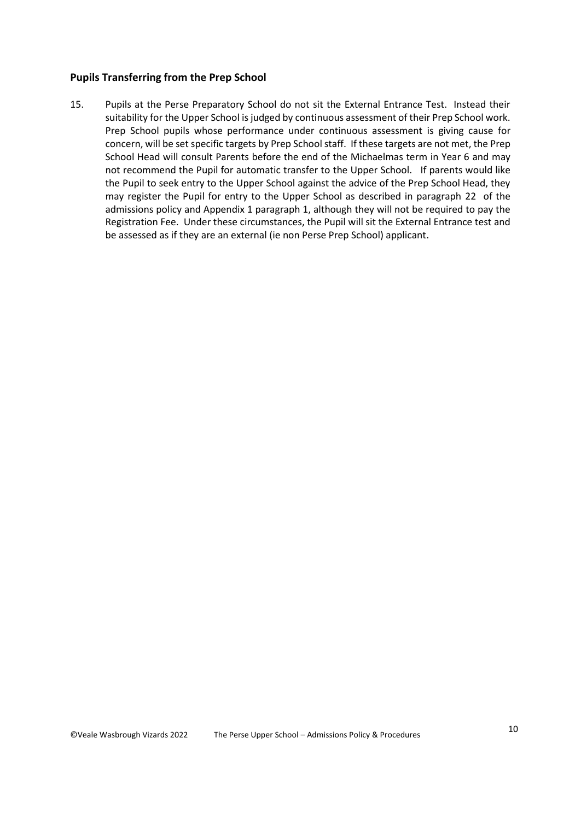### **Pupils Transferring from the Prep School**

15. Pupils at the Perse Preparatory School do not sit the External Entrance Test. Instead their suitability for the Upper School is judged by continuous assessment of their Prep School work. Prep School pupils whose performance under continuous assessment is giving cause for concern, will be set specific targets by Prep School staff. If these targets are not met, the Prep School Head will consult Parents before the end of the Michaelmas term in Year 6 and may not recommend the Pupil for automatic transfer to the Upper School. If parents would like the Pupil to seek entry to the Upper School against the advice of the Prep School Head, they may register the Pupil for entry to the Upper School as described in paragraph [22](#page-3-0) of the admissions policy and Appendix 1 paragraph [1,](#page-7-0) although they will not be required to pay the Registration Fee. Under these circumstances, the Pupil will sit the External Entrance test and be assessed as if they are an external (ie non Perse Prep School) applicant.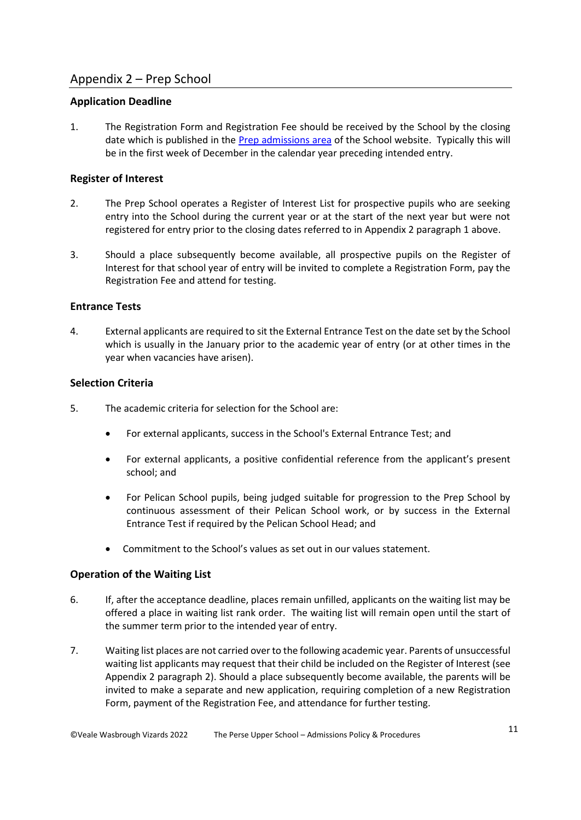# Appendix 2 – Prep School

# **Application Deadline**

<span id="page-10-0"></span>1. The Registration Form and Registration Fee should be received by the School by the closing date which is published in the [Prep admissions area](https://www.perse.co.uk/admissions/prep/register/) of the School website. Typically this will be in the first week of December in the calendar year preceding intended entry.

# **Register of Interest**

- <span id="page-10-1"></span>2. The Prep School operates a Register of Interest List for prospective pupils who are seeking entry into the School during the current year or at the start of the next year but were not registered for entry prior to the closing dates referred to in Appendix 2 paragraph [1](#page-10-0) above.
- 3. Should a place subsequently become available, all prospective pupils on the Register of Interest for that school year of entry will be invited to complete a Registration Form, pay the Registration Fee and attend for testing.

# **Entrance Tests**

4. External applicants are required to sit the External Entrance Test on the date set by the School which is usually in the January prior to the academic year of entry (or at other times in the year when vacancies have arisen).

# **Selection Criteria**

- 5. The academic criteria for selection for the School are:
	- For external applicants, success in the School's External Entrance Test; and
	- For external applicants, a positive confidential reference from the applicant's present school; and
	- For Pelican School pupils, being judged suitable for progression to the Prep School by continuous assessment of their Pelican School work, or by success in the External Entrance Test if required by the Pelican School Head; and
	- Commitment to the School's values as set out in our values statement.

# **Operation of the Waiting List**

- 6. If, after the acceptance deadline, places remain unfilled, applicants on the waiting list may be offered a place in waiting list rank order. The waiting list will remain open until the start of the summer term prior to the intended year of entry.
- 7. Waiting list places are not carried over to the following academic year. Parents of unsuccessful waiting list applicants may request that their child be included on the Register of Interest (see Appendix 2 paragraph [2\)](#page-10-1). Should a place subsequently become available, the parents will be invited to make a separate and new application, requiring completion of a new Registration Form, payment of the Registration Fee, and attendance for further testing.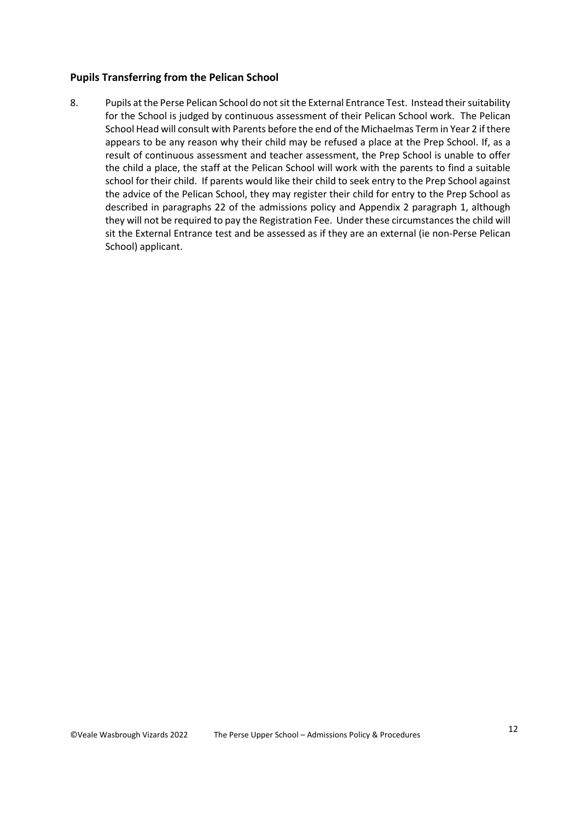### **Pupils Transferring from the Pelican School**

8. Pupils at the Perse Pelican School do not sit the External Entrance Test. Instead their suitability for the School is judged by continuous assessment of their Pelican School work. The Pelican School Head will consult with Parents before the end of the Michaelmas Term in Year 2 if there appears to be any reason why their child may be refused a place at the Prep School. If, as a result of continuous assessment and teacher assessment, the Prep School is unable to offer the child a place, the staff at the Pelican School will work with the parents to find a suitable school for their child. If parents would like their child to seek entry to the Prep School against the advice of the Pelican School, they may register their child for entry to the Prep School as described in paragraphs [22](#page-3-0) of the admissions policy and Appendix 2 paragraph [1,](#page-10-0) although they will not be required to pay the Registration Fee. Under these circumstances the child will sit the External Entrance test and be assessed as if they are an external (ie non-Perse Pelican School) applicant.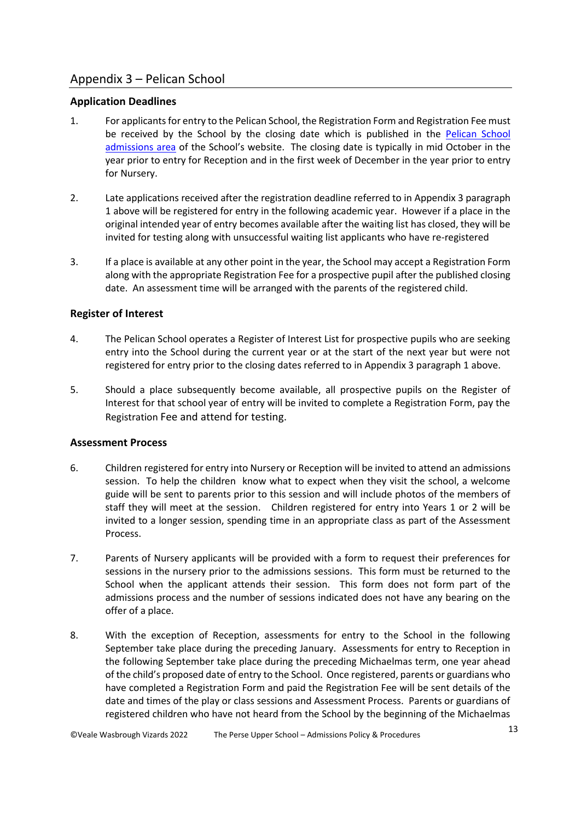# Appendix 3 – Pelican School

# **Application Deadlines**

- 1. For applicants for entry to the Pelican School, the Registration Form and Registration Fee must be received by the School by the closing date which is published in the [Pelican](https://www.perse.co.uk/admissions/pelican/register/) School [admissions area](https://www.perse.co.uk/admissions/pelican/register/) of the School's website. The closing date is typically in mid October in the year prior to entry for Reception and in the first week of December in the year prior to entry for Nursery.
- 2. Late applications received after the registration deadline referred to in Appendix 3 paragraph 1 above will be registered for entry in the following academic year. However if a place in the original intended year of entry becomes available after the waiting list has closed, they will be invited for testing along with unsuccessful waiting list applicants who have re-registered
- 3. If a place is available at any other point in the year, the School may accept a Registration Form along with the appropriate Registration Fee for a prospective pupil after the published closing date. An assessment time will be arranged with the parents of the registered child.

# **Register of Interest**

- 4. The Pelican School operates a Register of Interest List for prospective pupils who are seeking entry into the School during the current year or at the start of the next year but were not registered for entry prior to the closing dates referred to in Appendix 3 paragraph 1 above.
- 5. Should a place subsequently become available, all prospective pupils on the Register of Interest for that school year of entry will be invited to complete a Registration Form, pay the Registration Fee and attend for testing.

# **Assessment Process**

- 6. Children registered for entry into Nursery or Reception will be invited to attend an admissions session. To help the children know what to expect when they visit the school, a welcome guide will be sent to parents prior to this session and will include photos of the members of staff they will meet at the session. Children registered for entry into Years 1 or 2 will be invited to a longer session, spending time in an appropriate class as part of the Assessment Process.
- 7. Parents of Nursery applicants will be provided with a form to request their preferences for sessions in the nursery prior to the admissions sessions. This form must be returned to the School when the applicant attends their session. This form does not form part of the admissions process and the number of sessions indicated does not have any bearing on the offer of a place.
- 8. With the exception of Reception, assessments for entry to the School in the following September take place during the preceding January. Assessments for entry to Reception in the following September take place during the preceding Michaelmas term, one year ahead of the child's proposed date of entry to the School. Once registered, parents or guardians who have completed a Registration Form and paid the Registration Fee will be sent details of the date and times of the play or class sessions and Assessment Process. Parents or guardians of registered children who have not heard from the School by the beginning of the Michaelmas